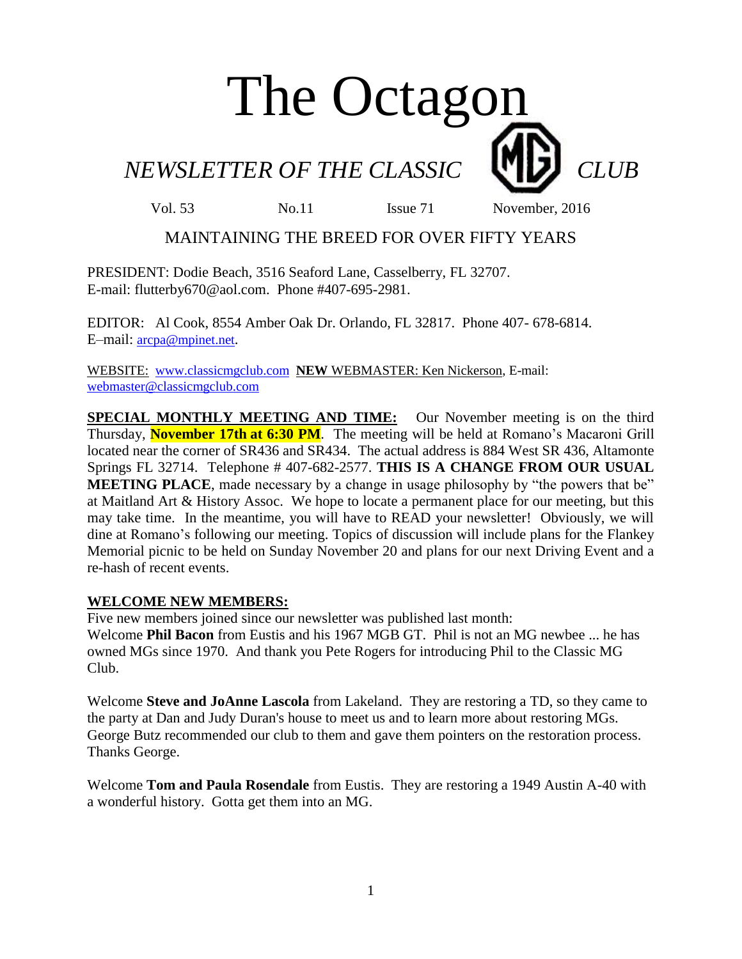# The Octagon

*NEWSLETTER OF THE CLASSIC CLUB* 

Vol. 53 No. 11 Issue 71 November, 2016

### MAINTAINING THE BREED FOR OVER FIFTY YEARS

PRESIDENT: Dodie Beach, 3516 Seaford Lane, Casselberry, FL 32707. E-mail: flutterby670@aol.com. Phone #407-695-2981.

EDITOR: Al Cook, 8554 Amber Oak Dr. Orlando, FL 32817. Phone 407- 678-6814. E–mail: [arcpa@mpinet.net](mailto:arcpa@mpinet.net).

WEBSITE: [www.classicmgclub.com](http://www.classicmgclub.com/) **NEW** WEBMASTER: Ken Nickerson, E-mail: [webmaster@classicmgclub.com](mailto:webmaster@classicmgclub.com)

**SPECIAL MONTHLY MEETING AND TIME:** Our November meeting is on the third Thursday, **November 17th at 6:30 PM**. The meeting will be held at Romano's Macaroni Grill located near the corner of SR436 and SR434. The actual address is 884 West SR 436, Altamonte Springs FL 32714. Telephone # 407-682-2577. **THIS IS A CHANGE FROM OUR USUAL MEETING PLACE**, made necessary by a change in usage philosophy by "the powers that be" at Maitland Art & History Assoc. We hope to locate a permanent place for our meeting, but this may take time. In the meantime, you will have to READ your newsletter! Obviously, we will dine at Romano's following our meeting. Topics of discussion will include plans for the Flankey Memorial picnic to be held on Sunday November 20 and plans for our next Driving Event and a re-hash of recent events.

#### **WELCOME NEW MEMBERS:**

Five new members joined since our newsletter was published last month: Welcome **Phil Bacon** from Eustis and his 1967 MGB GT. Phil is not an MG newbee ... he has owned MGs since 1970. And thank you Pete Rogers for introducing Phil to the Classic MG Club.

Welcome **Steve and JoAnne Lascola** from Lakeland. They are restoring a TD, so they came to the party at Dan and Judy Duran's house to meet us and to learn more about restoring MGs. George Butz recommended our club to them and gave them pointers on the restoration process. Thanks George.

Welcome **Tom and Paula Rosendale** from Eustis. They are restoring a 1949 Austin A-40 with a wonderful history. Gotta get them into an MG.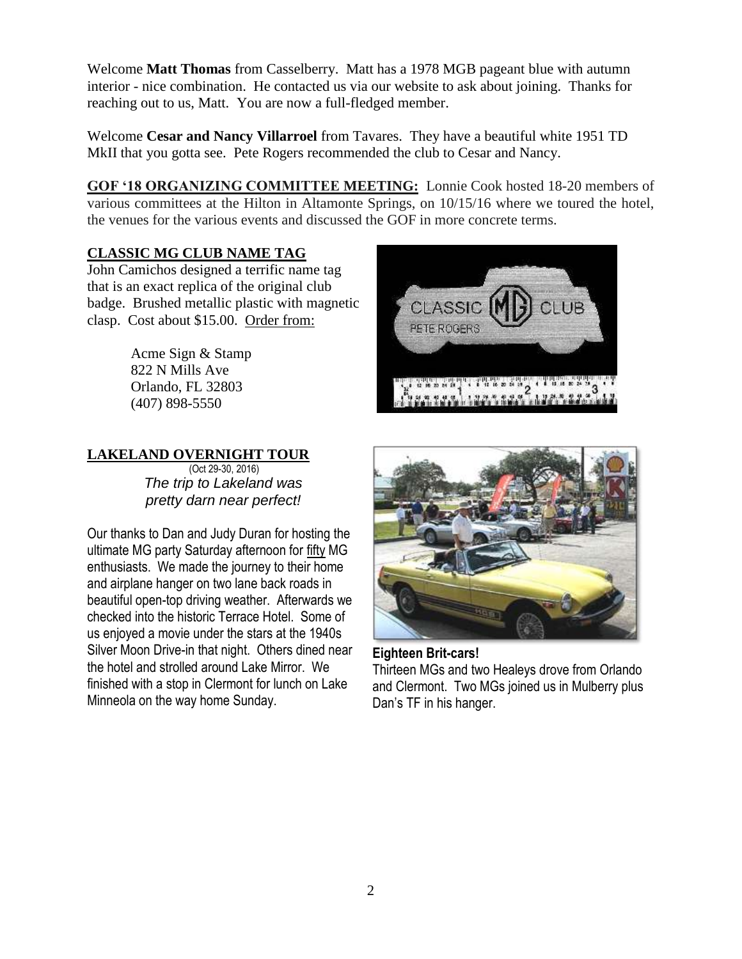Welcome **Matt Thomas** from Casselberry. Matt has a 1978 MGB pageant blue with autumn interior - nice combination. He contacted us via our website to ask about joining. Thanks for reaching out to us, Matt. You are now a full-fledged member.

Welcome **Cesar and Nancy Villarroel** from Tavares. They have a beautiful white 1951 TD MkII that you gotta see. Pete Rogers recommended the club to Cesar and Nancy.

**GOF '18 ORGANIZING COMMITTEE MEETING:** Lonnie Cook hosted 18-20 members of various committees at the Hilton in Altamonte Springs, on 10/15/16 where we toured the hotel, the venues for the various events and discussed the GOF in more concrete terms.

#### **CLASSIC MG CLUB NAME TAG**

John Camichos designed a terrific name tag that is an exact replica of the original club badge. Brushed metallic plastic with magnetic clasp. Cost about \$15.00. Order from:

> Acme Sign & Stamp 822 N Mills Ave Orlando, FL 32803 [\(407\) 898-5550](javascript:void(0))

## CLASSIC LUB PETE ROGERS

#### **LAKELAND OVERNIGHT TOUR**

 (Oct 29-30, 2016) *The trip to Lakeland was pretty darn near perfect!*

Our thanks to Dan and Judy Duran for hosting the ultimate MG party Saturday afternoon for fifty MG enthusiasts. We made the journey to their home and airplane hanger on two lane back roads in beautiful open-top driving weather. Afterwards we checked into the historic Terrace Hotel. Some of us enjoyed a movie under the stars at the 1940s Silver Moon Drive-in that night. Others dined near the hotel and strolled around Lake Mirror. We finished with a stop in Clermont for lunch on Lake Minneola on the way home Sunday.



#### **Eighteen Brit-cars!** Thirteen MGs and two Healeys drove from Orlando and Clermont. Two MGs joined us in Mulberry plus Dan's TF in his hanger.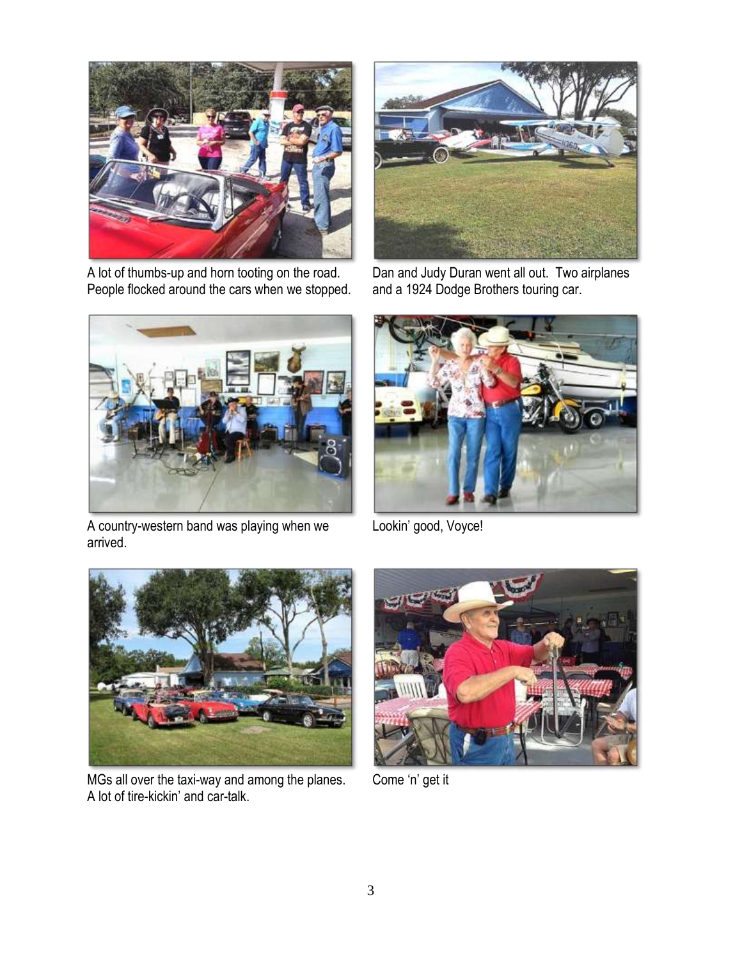

A lot of thumbs-up and horn tooting on the road. People flocked around the cars when we stopped.



Dan and Judy Duran went all out. Two airplanes and a 1924 Dodge Brothers touring car.



A country-western band was playing when we arrived.



Lookin' good, Voyce!



MGs all over the taxi-way and among the planes. A lot of tire-kickin' and car-talk.



Come 'n' get it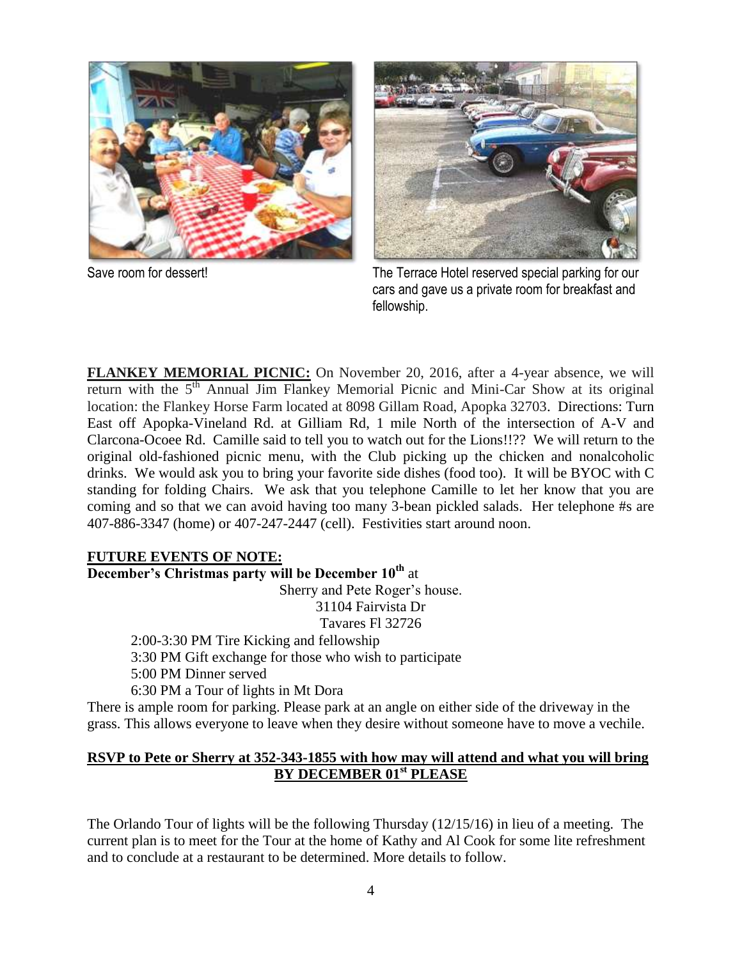



Save room for dessert! The Terrace Hotel reserved special parking for our cars and gave us a private room for breakfast and fellowship.

**FLANKEY MEMORIAL PICNIC:** On November 20, 2016, after a 4-year absence, we will return with the  $5<sup>th</sup>$  Annual Jim Flankey Memorial Picnic and Mini-Car Show at its original location: the Flankey Horse Farm located at 8098 Gillam Road, Apopka 32703. Directions: Turn East off Apopka-Vineland Rd. at Gilliam Rd, 1 mile North of the intersection of A-V and Clarcona-Ocoee Rd. Camille said to tell you to watch out for the Lions!!?? We will return to the original old-fashioned picnic menu, with the Club picking up the chicken and nonalcoholic drinks. We would ask you to bring your favorite side dishes (food too). It will be BYOC with C standing for folding Chairs. We ask that you telephone Camille to let her know that you are coming and so that we can avoid having too many 3-bean pickled salads. Her telephone #s are 407-886-3347 (home) or 407-247-2447 (cell). Festivities start around noon.

#### **FUTURE EVENTS OF NOTE:**

**December's Christmas party will be December 10th** at

Sherry and Pete Roger's house.

31104 Fairvista Dr

Tavares Fl 32726

2:00-3:30 PM Tire Kicking and fellowship 3:30 PM Gift exchange for those who wish to participate 5:00 PM Dinner served

6:30 PM a Tour of lights in Mt Dora

There is ample room for parking. Please park at an angle on either side of the driveway in the grass. This allows everyone to leave when they desire without someone have to move a vechile.

#### **RSVP to Pete or Sherry at 352-343-1855 with how may will attend and what you will bring BY DECEMBER 01st PLEASE**

The Orlando Tour of lights will be the following Thursday (12/15/16) in lieu of a meeting. The current plan is to meet for the Tour at the home of Kathy and Al Cook for some lite refreshment and to conclude at a restaurant to be determined. More details to follow.